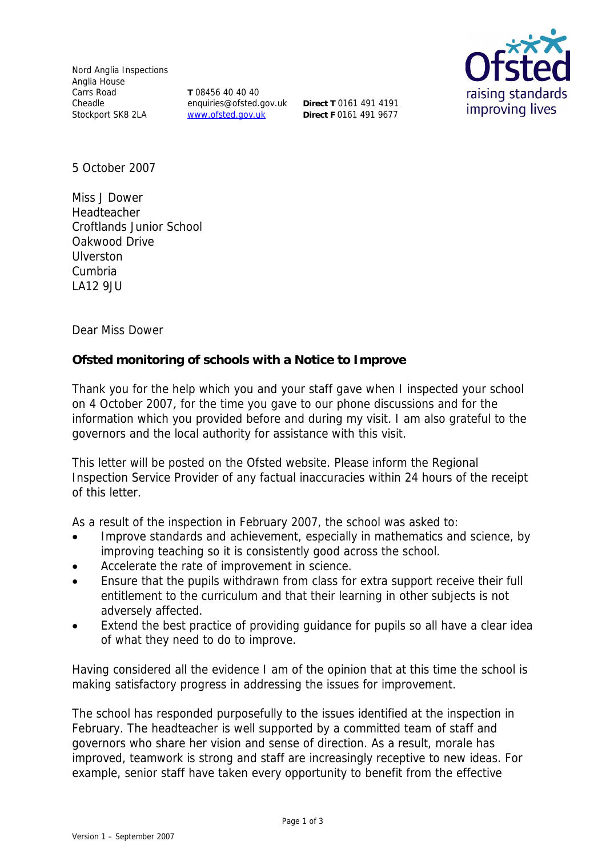Nord Anglia Inspections Anglia House Carrs Road Cheadle Stockport SK8 2LA

**T** 08456 40 40 40 enquiries@ofsted.gov.uk **Direct T** 0161 491 4191 www.ofsted.gov.uk

**Direct F** 0161 491 9677



5 October 2007

Miss J Dower Headteacher Croftlands Junior School Oakwood Drive Ulverston Cumbria LA12 9JU

Dear Miss Dower

**Ofsted monitoring of schools with a Notice to Improve** 

Thank you for the help which you and your staff gave when I inspected your school on 4 October 2007, for the time you gave to our phone discussions and for the information which you provided before and during my visit. I am also grateful to the governors and the local authority for assistance with this visit.

This letter will be posted on the Ofsted website. Please inform the Regional Inspection Service Provider of any factual inaccuracies within 24 hours of the receipt of this letter.

As a result of the inspection in February 2007, the school was asked to:

- Improve standards and achievement, especially in mathematics and science, by improving teaching so it is consistently good across the school.
- Accelerate the rate of improvement in science.
- Ensure that the pupils withdrawn from class for extra support receive their full entitlement to the curriculum and that their learning in other subjects is not adversely affected.
- Extend the best practice of providing guidance for pupils so all have a clear idea of what they need to do to improve.

Having considered all the evidence I am of the opinion that at this time the school is making satisfactory progress in addressing the issues for improvement.

The school has responded purposefully to the issues identified at the inspection in February. The headteacher is well supported by a committed team of staff and governors who share her vision and sense of direction. As a result, morale has improved, teamwork is strong and staff are increasingly receptive to new ideas. For example, senior staff have taken every opportunity to benefit from the effective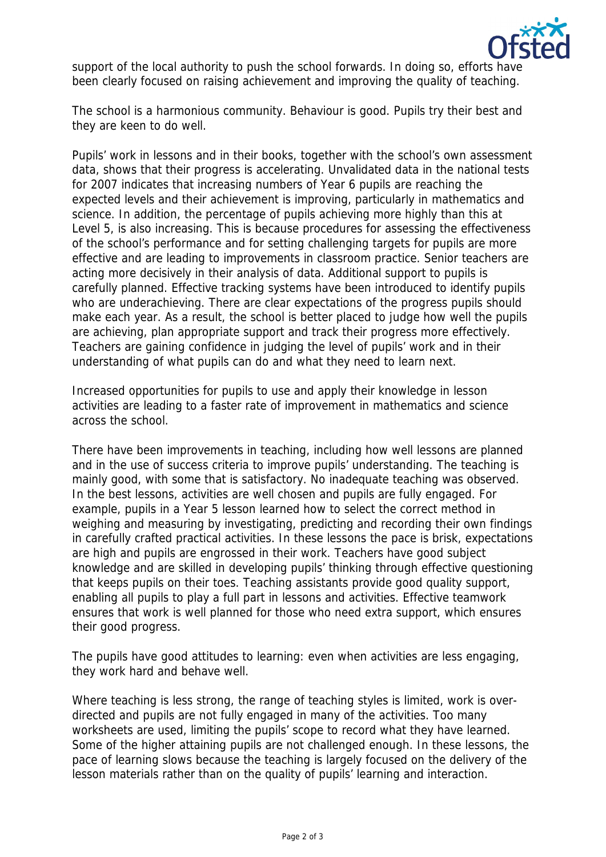

support of the local authority to push the school forwards. In doing so, efforts have been clearly focused on raising achievement and improving the quality of teaching.

The school is a harmonious community. Behaviour is good. Pupils try their best and they are keen to do well.

Pupils' work in lessons and in their books, together with the school's own assessment data, shows that their progress is accelerating. Unvalidated data in the national tests for 2007 indicates that increasing numbers of Year 6 pupils are reaching the expected levels and their achievement is improving, particularly in mathematics and science. In addition, the percentage of pupils achieving more highly than this at Level 5, is also increasing. This is because procedures for assessing the effectiveness of the school's performance and for setting challenging targets for pupils are more effective and are leading to improvements in classroom practice. Senior teachers are acting more decisively in their analysis of data. Additional support to pupils is carefully planned. Effective tracking systems have been introduced to identify pupils who are underachieving. There are clear expectations of the progress pupils should make each year. As a result, the school is better placed to judge how well the pupils are achieving, plan appropriate support and track their progress more effectively. Teachers are gaining confidence in judging the level of pupils' work and in their understanding of what pupils can do and what they need to learn next.

Increased opportunities for pupils to use and apply their knowledge in lesson activities are leading to a faster rate of improvement in mathematics and science across the school.

There have been improvements in teaching, including how well lessons are planned and in the use of success criteria to improve pupils' understanding. The teaching is mainly good, with some that is satisfactory. No inadequate teaching was observed. In the best lessons, activities are well chosen and pupils are fully engaged. For example, pupils in a Year 5 lesson learned how to select the correct method in weighing and measuring by investigating, predicting and recording their own findings in carefully crafted practical activities. In these lessons the pace is brisk, expectations are high and pupils are engrossed in their work. Teachers have good subject knowledge and are skilled in developing pupils' thinking through effective questioning that keeps pupils on their toes. Teaching assistants provide good quality support, enabling all pupils to play a full part in lessons and activities. Effective teamwork ensures that work is well planned for those who need extra support, which ensures their good progress.

The pupils have good attitudes to learning: even when activities are less engaging, they work hard and behave well.

Where teaching is less strong, the range of teaching styles is limited, work is overdirected and pupils are not fully engaged in many of the activities. Too many worksheets are used, limiting the pupils' scope to record what they have learned. Some of the higher attaining pupils are not challenged enough. In these lessons, the pace of learning slows because the teaching is largely focused on the delivery of the lesson materials rather than on the quality of pupils' learning and interaction.